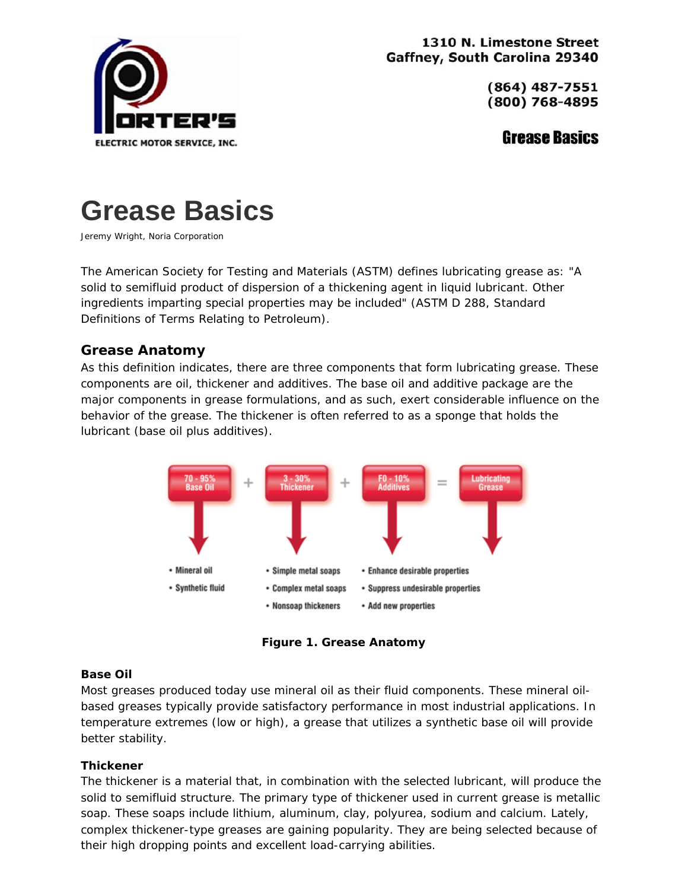

1310 N. Limestone Street Gaffney, South Carolina 29340

> (864) 487-7551 (800) 768-4895

> > **Grease Basics**



Jeremy Wright, Noria Corporation

The American Society for Testing and Materials (ASTM) defines lubricating grease as: "A solid to semifluid product of dispersion of a thickening agent in liquid lubricant. Other ingredients imparting special properties may be included" (ASTM D 288, Standard Definitions of Terms Relating to Petroleum).

# **Grease Anatomy**

As this definition indicates, there are three components that form lubricating grease. These components are oil, thickener and additives. The base oil and additive package are the major components in grease formulations, and as such, exert considerable influence on the behavior of the grease. The thickener is often referred to as a sponge that holds the lubricant (base oil plus additives).



**Figure 1. Grease Anatomy**

#### **Base Oil**

Most greases produced today use mineral oil as their fluid components. These mineral oilbased greases typically provide satisfactory performance in most industrial applications. In temperature extremes (low or high), a grease that utilizes a synthetic base oil will provide better stability.

#### **Thickener**

The thickener is a material that, in combination with the selected lubricant, will produce the solid to semifluid structure. The primary type of thickener used in current grease is metallic soap. These soaps include lithium, aluminum, clay, polyurea, sodium and calcium. Lately, complex thickener-type greases are gaining popularity. They are being selected because of their high dropping points and excellent load-carrying abilities.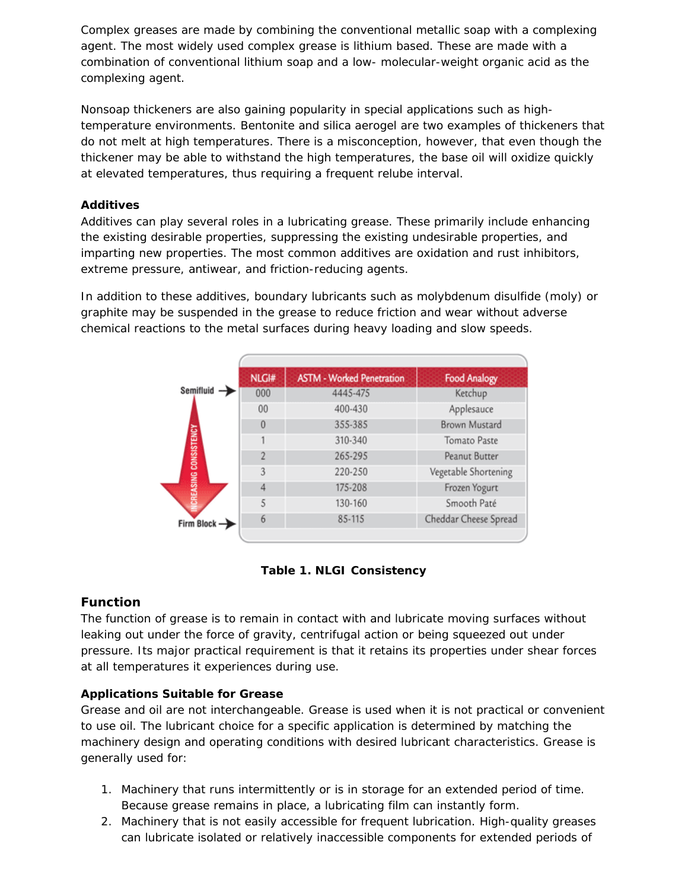Complex greases are made by combining the conventional metallic soap with a complexing agent. The most widely used complex grease is lithium based. These are made with a combination of conventional lithium soap and a low- molecular-weight organic acid as the complexing agent.

Nonsoap thickeners are also gaining popularity in special applications such as hightemperature environments. Bentonite and silica aerogel are two examples of thickeners that do not melt at high temperatures. There is a misconception, however, that even though the thickener may be able to withstand the high temperatures, the base oil will oxidize quickly at elevated temperatures, thus requiring a frequent relube interval.

# **Additives**

Additives can play several roles in a lubricating grease. These primarily include enhancing the existing desirable properties, suppressing the existing undesirable properties, and imparting new properties. The most common additives are oxidation and rust inhibitors, extreme pressure, antiwear, and friction-reducing agents.

In addition to these additives, boundary lubricants such as molybdenum disulfide (moly) or graphite may be suspended in the grease to reduce friction and wear without adverse chemical reactions to the metal surfaces during heavy loading and slow speeds.

|                                     | NLGI#    | <b>ASTM - Worked Penetration</b> | <b>Food Analogy</b>   |
|-------------------------------------|----------|----------------------------------|-----------------------|
| Semifluid -<br>CREASING CONSISTENCY | 000      | 4445-475                         | Ketchup               |
|                                     | 00       | 400-430                          | Applesauce            |
|                                     | $\theta$ | 355-385                          | Brown Mustard         |
|                                     |          | 310-340                          | <b>Tomato Paste</b>   |
|                                     |          | 265-295                          | Peanut Butter         |
|                                     | 3        | 220-250                          | Vegetable Shortening  |
|                                     |          | 175-208                          | Frozen Yogurt         |
|                                     | 5        | 130-160                          | Smooth Paté           |
| Firm Block -                        | 6        | 85-115                           | Cheddar Cheese Spread |
|                                     |          |                                  |                       |



## **Function**

The function of grease is to remain in contact with and lubricate moving surfaces without leaking out under the force of gravity, centrifugal action or being squeezed out under pressure. Its major practical requirement is that it retains its properties under shear forces at all temperatures it experiences during use.

## **Applications Suitable for Grease**

Grease and oil are not interchangeable. Grease is used when it is not practical or convenient to use oil. The lubricant choice for a specific application is determined by matching the machinery design and operating conditions with desired lubricant characteristics. Grease is generally used for:

- 1. Machinery that runs intermittently or is in storage for an extended period of time. Because grease remains in place, a lubricating film can instantly form.
- 2. Machinery that is not easily accessible for frequent lubrication. High-quality greases can lubricate isolated or relatively inaccessible components for extended periods of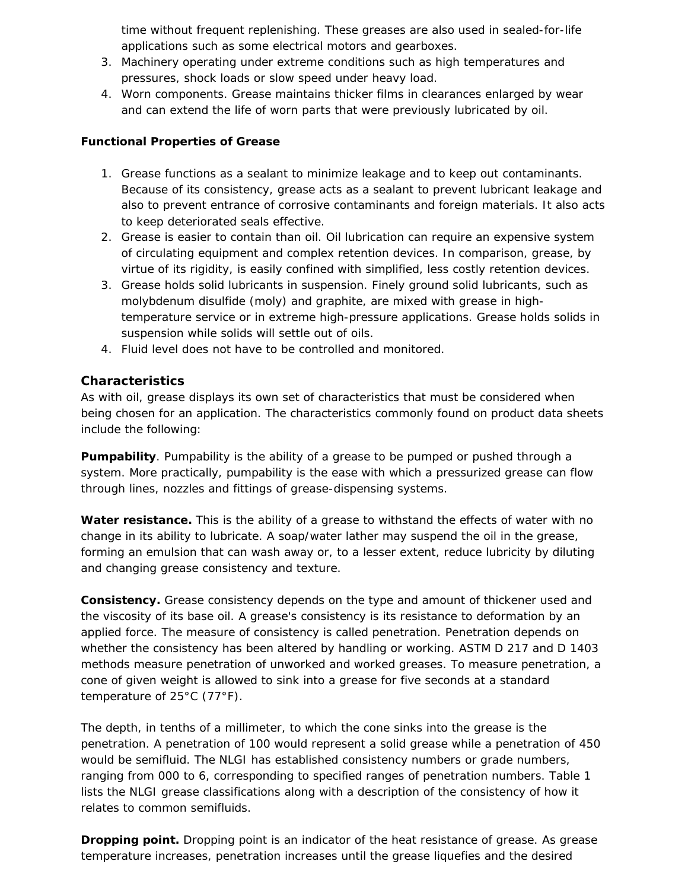time without frequent replenishing. These greases are also used in sealed-for-life applications such as some electrical motors and gearboxes.

- 3. Machinery operating under extreme conditions such as high temperatures and pressures, shock loads or slow speed under heavy load.
- 4. Worn components. Grease maintains thicker films in clearances enlarged by wear and can extend the life of worn parts that were previously lubricated by oil.

## **Functional Properties of Grease**

- 1. Grease functions as a sealant to minimize leakage and to keep out contaminants. Because of its consistency, grease acts as a sealant to prevent lubricant leakage and also to prevent entrance of corrosive contaminants and foreign materials. It also acts to keep deteriorated seals effective.
- 2. Grease is easier to contain than oil. Oil lubrication can require an expensive system of circulating equipment and complex retention devices. In comparison, grease, by virtue of its rigidity, is easily confined with simplified, less costly retention devices.
- 3. Grease holds solid lubricants in suspension. Finely ground solid lubricants, such as molybdenum disulfide (moly) and graphite, are mixed with grease in hightemperature service or in extreme high-pressure applications. Grease holds solids in suspension while solids will settle out of oils.
- 4. Fluid level does not have to be controlled and monitored.

# **Characteristics**

As with oil, grease displays its own set of characteristics that must be considered when being chosen for an application. The characteristics commonly found on product data sheets include the following:

**Pumpability**. Pumpability is the ability of a grease to be pumped or pushed through a system. More practically, pumpability is the ease with which a pressurized grease can flow through lines, nozzles and fittings of grease-dispensing systems.

**Water resistance.** This is the ability of a grease to withstand the effects of water with no change in its ability to lubricate. A soap/water lather may suspend the oil in the grease, forming an emulsion that can wash away or, to a lesser extent, reduce lubricity by diluting and changing grease consistency and texture.

**Consistency.** Grease consistency depends on the type and amount of thickener used and the viscosity of its base oil. A grease's consistency is its resistance to deformation by an applied force. The measure of consistency is called penetration. Penetration depends on whether the consistency has been altered by handling or working. ASTM D 217 and D 1403 methods measure penetration of unworked and worked greases. To measure penetration, a cone of given weight is allowed to sink into a grease for five seconds at a standard temperature of 25°C (77°F).

The depth, in tenths of a millimeter, to which the cone sinks into the grease is the penetration. A penetration of 100 would represent a solid grease while a penetration of 450 would be semifluid. The NLGI has established consistency numbers or grade numbers, ranging from 000 to 6, corresponding to specified ranges of penetration numbers. Table 1 lists the NLGI grease classifications along with a description of the consistency of how it relates to common semifluids.

**Dropping point.** Dropping point is an indicator of the heat resistance of grease. As grease temperature increases, penetration increases until the grease liquefies and the desired